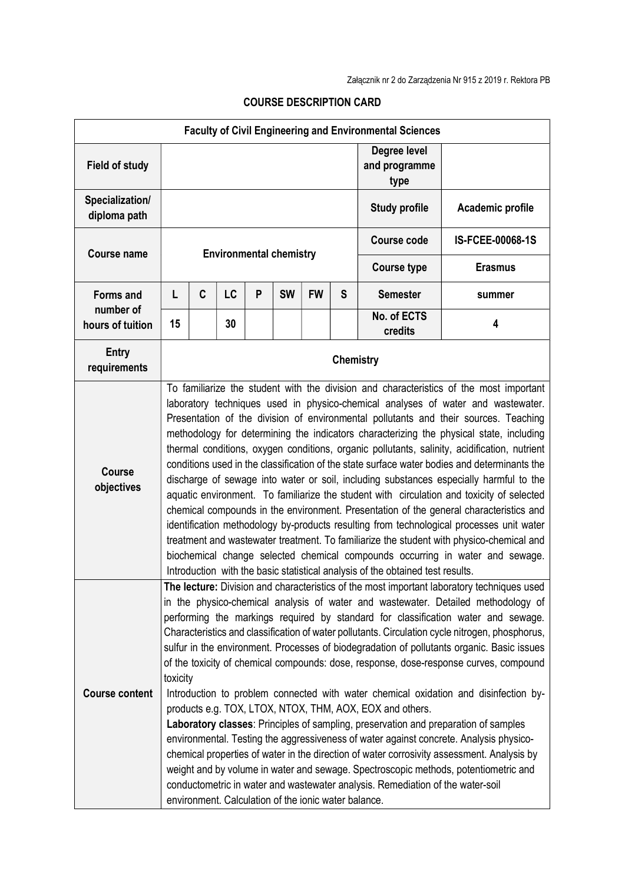| <b>Faculty of Civil Engineering and Environmental Sciences</b> |                                                                                                                                                                                                                                                                                                                                                                                                                                                                                                                                                                                                                                                                                                                                                                                                                                                                                                                                                                                                                                                                                                                                                                                                                                                |   |    |   |           |           |   |                                       |                  |
|----------------------------------------------------------------|------------------------------------------------------------------------------------------------------------------------------------------------------------------------------------------------------------------------------------------------------------------------------------------------------------------------------------------------------------------------------------------------------------------------------------------------------------------------------------------------------------------------------------------------------------------------------------------------------------------------------------------------------------------------------------------------------------------------------------------------------------------------------------------------------------------------------------------------------------------------------------------------------------------------------------------------------------------------------------------------------------------------------------------------------------------------------------------------------------------------------------------------------------------------------------------------------------------------------------------------|---|----|---|-----------|-----------|---|---------------------------------------|------------------|
| <b>Field of study</b>                                          |                                                                                                                                                                                                                                                                                                                                                                                                                                                                                                                                                                                                                                                                                                                                                                                                                                                                                                                                                                                                                                                                                                                                                                                                                                                |   |    |   |           |           |   | Degree level<br>and programme<br>type |                  |
| Specialization/<br>diploma path                                |                                                                                                                                                                                                                                                                                                                                                                                                                                                                                                                                                                                                                                                                                                                                                                                                                                                                                                                                                                                                                                                                                                                                                                                                                                                |   |    |   |           |           |   | <b>Study profile</b>                  | Academic profile |
| <b>Course name</b>                                             | <b>Environmental chemistry</b>                                                                                                                                                                                                                                                                                                                                                                                                                                                                                                                                                                                                                                                                                                                                                                                                                                                                                                                                                                                                                                                                                                                                                                                                                 |   |    |   |           |           |   | <b>Course code</b>                    | IS-FCEE-00068-1S |
|                                                                |                                                                                                                                                                                                                                                                                                                                                                                                                                                                                                                                                                                                                                                                                                                                                                                                                                                                                                                                                                                                                                                                                                                                                                                                                                                |   |    |   |           |           |   | <b>Course type</b>                    | <b>Erasmus</b>   |
| <b>Forms and</b><br>number of<br>hours of tuition              | L                                                                                                                                                                                                                                                                                                                                                                                                                                                                                                                                                                                                                                                                                                                                                                                                                                                                                                                                                                                                                                                                                                                                                                                                                                              | C | LC | P | <b>SW</b> | <b>FW</b> | S | <b>Semester</b>                       | summer           |
|                                                                | 15                                                                                                                                                                                                                                                                                                                                                                                                                                                                                                                                                                                                                                                                                                                                                                                                                                                                                                                                                                                                                                                                                                                                                                                                                                             |   | 30 |   |           |           |   | No. of ECTS<br>credits                | 4                |
| <b>Entry</b><br>requirements                                   | Chemistry                                                                                                                                                                                                                                                                                                                                                                                                                                                                                                                                                                                                                                                                                                                                                                                                                                                                                                                                                                                                                                                                                                                                                                                                                                      |   |    |   |           |           |   |                                       |                  |
| <b>Course</b><br>objectives                                    | To familiarize the student with the division and characteristics of the most important<br>laboratory techniques used in physico-chemical analyses of water and wastewater.<br>Presentation of the division of environmental pollutants and their sources. Teaching<br>methodology for determining the indicators characterizing the physical state, including<br>thermal conditions, oxygen conditions, organic pollutants, salinity, acidification, nutrient<br>conditions used in the classification of the state surface water bodies and determinants the<br>discharge of sewage into water or soil, including substances especially harmful to the<br>aquatic environment. To familiarize the student with circulation and toxicity of selected<br>chemical compounds in the environment. Presentation of the general characteristics and<br>identification methodology by-products resulting from technological processes unit water<br>treatment and wastewater treatment. To familiarize the student with physico-chemical and<br>biochemical change selected chemical compounds occurring in water and sewage.<br>Introduction with the basic statistical analysis of the obtained test results.                                      |   |    |   |           |           |   |                                       |                  |
| <b>Course content</b>                                          | The lecture: Division and characteristics of the most important laboratory techniques used<br>in the physico-chemical analysis of water and wastewater. Detailed methodology of<br>performing the markings required by standard for classification water and sewage.<br>Characteristics and classification of water pollutants. Circulation cycle nitrogen, phosphorus,<br>sulfur in the environment. Processes of biodegradation of pollutants organic. Basic issues<br>of the toxicity of chemical compounds: dose, response, dose-response curves, compound<br>toxicity<br>Introduction to problem connected with water chemical oxidation and disinfection by-<br>products e.g. TOX, LTOX, NTOX, THM, AOX, EOX and others.<br>Laboratory classes: Principles of sampling, preservation and preparation of samples<br>environmental. Testing the aggressiveness of water against concrete. Analysis physico-<br>chemical properties of water in the direction of water corrosivity assessment. Analysis by<br>weight and by volume in water and sewage. Spectroscopic methods, potentiometric and<br>conductometric in water and wastewater analysis. Remediation of the water-soil<br>environment. Calculation of the ionic water balance. |   |    |   |           |           |   |                                       |                  |

## COURSE DESCRIPTION CARD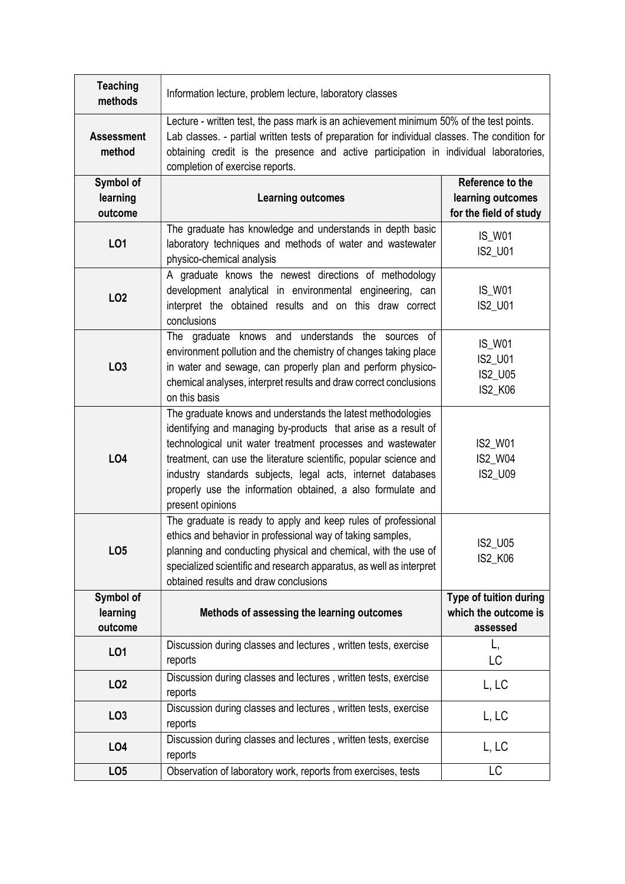| <b>Teaching</b><br>methods  | Information lecture, problem lecture, laboratory classes                                                                                                                                                                                                                                                                                                                                                            |                                                |  |  |  |  |
|-----------------------------|---------------------------------------------------------------------------------------------------------------------------------------------------------------------------------------------------------------------------------------------------------------------------------------------------------------------------------------------------------------------------------------------------------------------|------------------------------------------------|--|--|--|--|
| <b>Assessment</b><br>method | Lecture - written test, the pass mark is an achievement minimum 50% of the test points.<br>Lab classes. - partial written tests of preparation for individual classes. The condition for<br>obtaining credit is the presence and active participation in individual laboratories,<br>completion of exercise reports.                                                                                                |                                                |  |  |  |  |
| Symbol of                   |                                                                                                                                                                                                                                                                                                                                                                                                                     | Reference to the                               |  |  |  |  |
| learning                    | <b>Learning outcomes</b>                                                                                                                                                                                                                                                                                                                                                                                            | learning outcomes                              |  |  |  |  |
| outcome                     |                                                                                                                                                                                                                                                                                                                                                                                                                     |                                                |  |  |  |  |
|                             |                                                                                                                                                                                                                                                                                                                                                                                                                     | for the field of study                         |  |  |  |  |
| LO1                         | The graduate has knowledge and understands in depth basic<br>laboratory techniques and methods of water and wastewater<br>physico-chemical analysis                                                                                                                                                                                                                                                                 | <b>IS_W01</b><br>IS2_U01                       |  |  |  |  |
| LO <sub>2</sub>             | A graduate knows the newest directions of methodology<br>development analytical in environmental engineering, can<br>interpret the obtained results and on this draw correct                                                                                                                                                                                                                                        | <b>IS_W01</b><br>IS2_U01                       |  |  |  |  |
|                             | conclusions                                                                                                                                                                                                                                                                                                                                                                                                         |                                                |  |  |  |  |
| LO <sub>3</sub>             | The graduate knows and understands the sources of<br>environment pollution and the chemistry of changes taking place<br>in water and sewage, can properly plan and perform physico-<br>chemical analyses, interpret results and draw correct conclusions<br>on this basis                                                                                                                                           | <b>IS_W01</b><br>IS2_U01<br>IS2_U05<br>IS2_K06 |  |  |  |  |
| <b>LO4</b>                  | The graduate knows and understands the latest methodologies<br>identifying and managing by-products that arise as a result of<br>technological unit water treatment processes and wastewater<br>treatment, can use the literature scientific, popular science and<br>industry standards subjects, legal acts, internet databases<br>properly use the information obtained, a also formulate and<br>present opinions | IS2_W01<br>IS2_W04<br>IS2_U09                  |  |  |  |  |
| LO <sub>5</sub>             | The graduate is ready to apply and keep rules of professional<br>ethics and behavior in professional way of taking samples,<br>planning and conducting physical and chemical, with the use of<br>specialized scientific and research apparatus, as well as interpret<br>obtained results and draw conclusions                                                                                                       | IS2_U05<br><b>IS2 K06</b>                      |  |  |  |  |
| Symbol of                   |                                                                                                                                                                                                                                                                                                                                                                                                                     | Type of tuition during                         |  |  |  |  |
| learning                    | Methods of assessing the learning outcomes                                                                                                                                                                                                                                                                                                                                                                          | which the outcome is                           |  |  |  |  |
|                             |                                                                                                                                                                                                                                                                                                                                                                                                                     |                                                |  |  |  |  |
| outcome                     |                                                                                                                                                                                                                                                                                                                                                                                                                     | assessed                                       |  |  |  |  |
| <b>LO1</b>                  | Discussion during classes and lectures, written tests, exercise<br>reports                                                                                                                                                                                                                                                                                                                                          | L,<br>LC                                       |  |  |  |  |
| LO <sub>2</sub>             | Discussion during classes and lectures, written tests, exercise<br>reports                                                                                                                                                                                                                                                                                                                                          | L, LC                                          |  |  |  |  |
| LO <sub>3</sub>             | Discussion during classes and lectures, written tests, exercise<br>reports                                                                                                                                                                                                                                                                                                                                          | L, LC                                          |  |  |  |  |
| LO <sub>4</sub>             | Discussion during classes and lectures, written tests, exercise<br>reports                                                                                                                                                                                                                                                                                                                                          | L, LC                                          |  |  |  |  |
| LO <sub>5</sub>             | Observation of laboratory work, reports from exercises, tests                                                                                                                                                                                                                                                                                                                                                       | LC                                             |  |  |  |  |